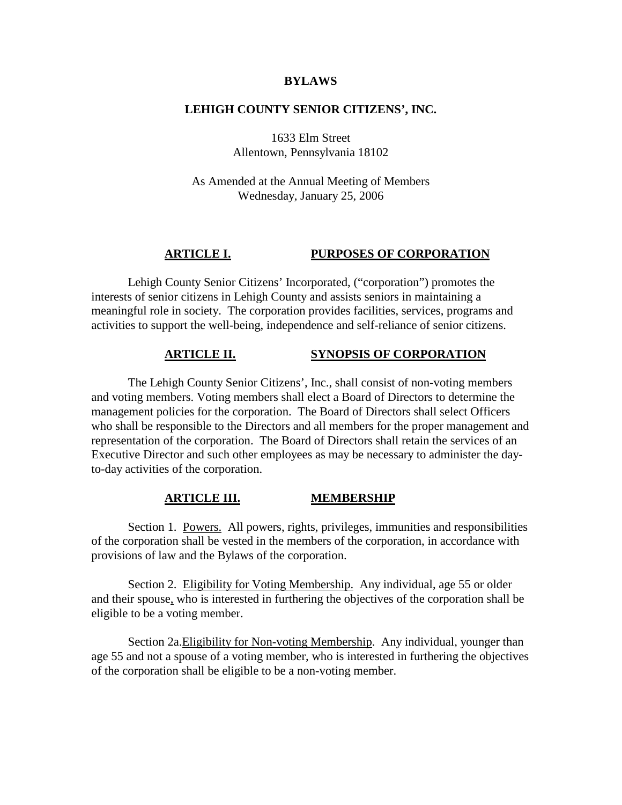#### **BYLAWS**

# **LEHIGH COUNTY SENIOR CITIZENS', INC.**

1633 Elm Street Allentown, Pennsylvania 18102

As Amended at the Annual Meeting of Members Wednesday, January 25, 2006

# **ARTICLE I. PURPOSES OF CORPORATION**

Lehigh County Senior Citizens' Incorporated, ("corporation") promotes the interests of senior citizens in Lehigh County and assists seniors in maintaining a meaningful role in society. The corporation provides facilities, services, programs and activities to support the well-being, independence and self-reliance of senior citizens.

### **ARTICLE II. SYNOPSIS OF CORPORATION**

The Lehigh County Senior Citizens', Inc., shall consist of non-voting members and voting members. Voting members shall elect a Board of Directors to determine the management policies for the corporation. The Board of Directors shall select Officers who shall be responsible to the Directors and all members for the proper management and representation of the corporation. The Board of Directors shall retain the services of an Executive Director and such other employees as may be necessary to administer the dayto-day activities of the corporation.

#### **ARTICLE III. MEMBERSHIP**

Section 1. Powers. All powers, rights, privileges, immunities and responsibilities of the corporation shall be vested in the members of the corporation, in accordance with provisions of law and the Bylaws of the corporation.

Section 2. Eligibility for Voting Membership. Any individual, age 55 or older and their spouse, who is interested in furthering the objectives of the corporation shall be eligible to be a voting member.

Section 2a.Eligibility for Non-voting Membership. Any individual, younger than age 55 and not a spouse of a voting member, who is interested in furthering the objectives of the corporation shall be eligible to be a non-voting member.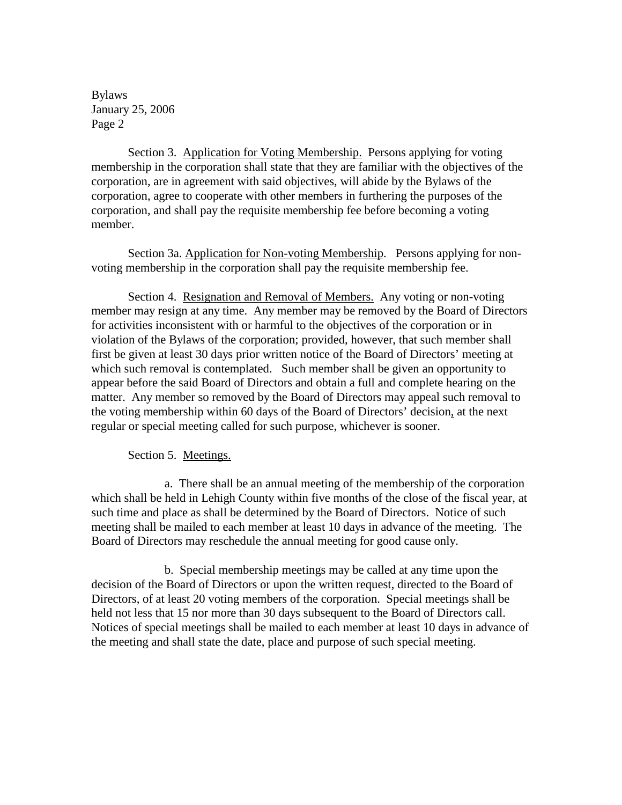Section 3. Application for Voting Membership. Persons applying for voting membership in the corporation shall state that they are familiar with the objectives of the corporation, are in agreement with said objectives, will abide by the Bylaws of the corporation, agree to cooperate with other members in furthering the purposes of the corporation, and shall pay the requisite membership fee before becoming a voting member.

Section 3a. Application for Non-voting Membership. Persons applying for nonvoting membership in the corporation shall pay the requisite membership fee.

Section 4. Resignation and Removal of Members. Any voting or non-voting member may resign at any time. Any member may be removed by the Board of Directors for activities inconsistent with or harmful to the objectives of the corporation or in violation of the Bylaws of the corporation; provided, however, that such member shall first be given at least 30 days prior written notice of the Board of Directors' meeting at which such removal is contemplated. Such member shall be given an opportunity to appear before the said Board of Directors and obtain a full and complete hearing on the matter. Any member so removed by the Board of Directors may appeal such removal to the voting membership within 60 days of the Board of Directors' decision, at the next regular or special meeting called for such purpose, whichever is sooner.

# Section 5. Meetings.

a. There shall be an annual meeting of the membership of the corporation which shall be held in Lehigh County within five months of the close of the fiscal year, at such time and place as shall be determined by the Board of Directors. Notice of such meeting shall be mailed to each member at least 10 days in advance of the meeting. The Board of Directors may reschedule the annual meeting for good cause only.

b. Special membership meetings may be called at any time upon the decision of the Board of Directors or upon the written request, directed to the Board of Directors, of at least 20 voting members of the corporation. Special meetings shall be held not less that 15 nor more than 30 days subsequent to the Board of Directors call. Notices of special meetings shall be mailed to each member at least 10 days in advance of the meeting and shall state the date, place and purpose of such special meeting.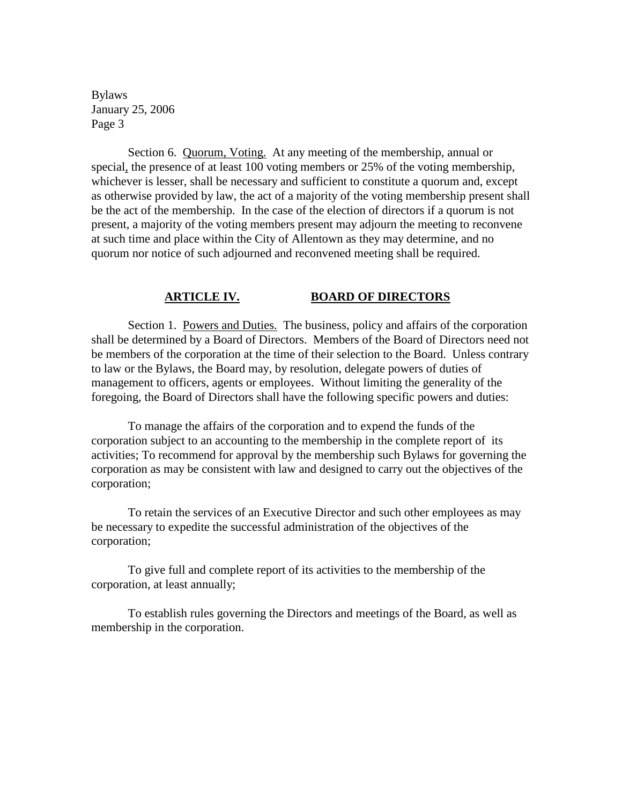Section 6. Quorum, Voting. At any meeting of the membership, annual or special, the presence of at least 100 voting members or 25% of the voting membership, whichever is lesser, shall be necessary and sufficient to constitute a quorum and, except as otherwise provided by law, the act of a majority of the voting membership present shall be the act of the membership. In the case of the election of directors if a quorum is not present, a majority of the voting members present may adjourn the meeting to reconvene at such time and place within the City of Allentown as they may determine, and no quorum nor notice of such adjourned and reconvened meeting shall be required.

# **ARTICLE IV. BOARD OF DIRECTORS**

Section 1. Powers and Duties. The business, policy and affairs of the corporation shall be determined by a Board of Directors. Members of the Board of Directors need not be members of the corporation at the time of their selection to the Board. Unless contrary to law or the Bylaws, the Board may, by resolution, delegate powers of duties of management to officers, agents or employees. Without limiting the generality of the foregoing, the Board of Directors shall have the following specific powers and duties:

To manage the affairs of the corporation and to expend the funds of the corporation subject to an accounting to the membership in the complete report of its activities; To recommend for approval by the membership such Bylaws for governing the corporation as may be consistent with law and designed to carry out the objectives of the corporation;

To retain the services of an Executive Director and such other employees as may be necessary to expedite the successful administration of the objectives of the corporation;

To give full and complete report of its activities to the membership of the corporation, at least annually;

To establish rules governing the Directors and meetings of the Board, as well as membership in the corporation.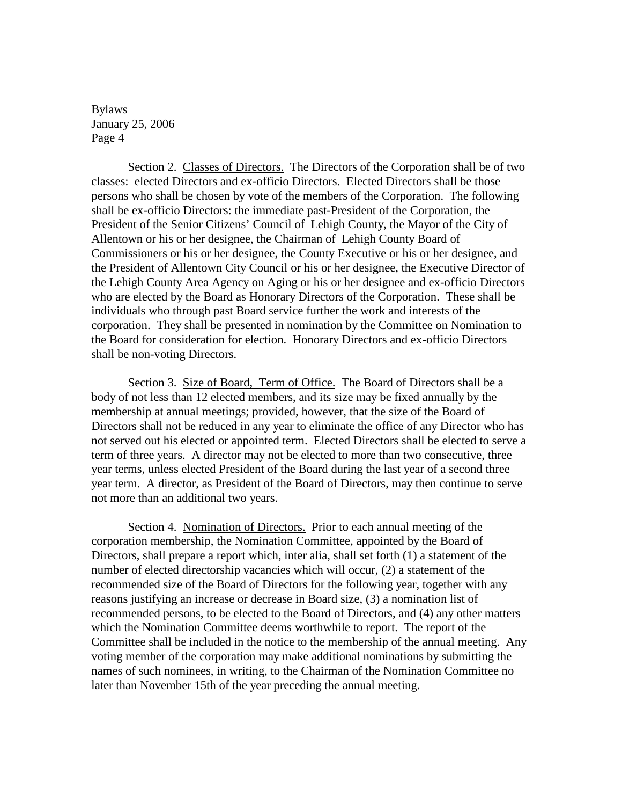Section 2. Classes of Directors. The Directors of the Corporation shall be of two classes: elected Directors and ex-officio Directors. Elected Directors shall be those persons who shall be chosen by vote of the members of the Corporation. The following shall be ex-officio Directors: the immediate past-President of the Corporation, the President of the Senior Citizens' Council of Lehigh County, the Mayor of the City of Allentown or his or her designee, the Chairman of Lehigh County Board of Commissioners or his or her designee, the County Executive or his or her designee, and the President of Allentown City Council or his or her designee, the Executive Director of the Lehigh County Area Agency on Aging or his or her designee and ex-officio Directors who are elected by the Board as Honorary Directors of the Corporation. These shall be individuals who through past Board service further the work and interests of the corporation. They shall be presented in nomination by the Committee on Nomination to the Board for consideration for election. Honorary Directors and ex-officio Directors shall be non-voting Directors.

Section 3. Size of Board, Term of Office. The Board of Directors shall be a body of not less than 12 elected members, and its size may be fixed annually by the membership at annual meetings; provided, however, that the size of the Board of Directors shall not be reduced in any year to eliminate the office of any Director who has not served out his elected or appointed term. Elected Directors shall be elected to serve a term of three years. A director may not be elected to more than two consecutive, three year terms, unless elected President of the Board during the last year of a second three year term. A director, as President of the Board of Directors, may then continue to serve not more than an additional two years.

Section 4. Nomination of Directors. Prior to each annual meeting of the corporation membership, the Nomination Committee, appointed by the Board of Directors, shall prepare a report which, inter alia, shall set forth (1) a statement of the number of elected directorship vacancies which will occur, (2) a statement of the recommended size of the Board of Directors for the following year, together with any reasons justifying an increase or decrease in Board size, (3) a nomination list of recommended persons, to be elected to the Board of Directors, and (4) any other matters which the Nomination Committee deems worthwhile to report. The report of the Committee shall be included in the notice to the membership of the annual meeting. Any voting member of the corporation may make additional nominations by submitting the names of such nominees, in writing, to the Chairman of the Nomination Committee no later than November 15th of the year preceding the annual meeting.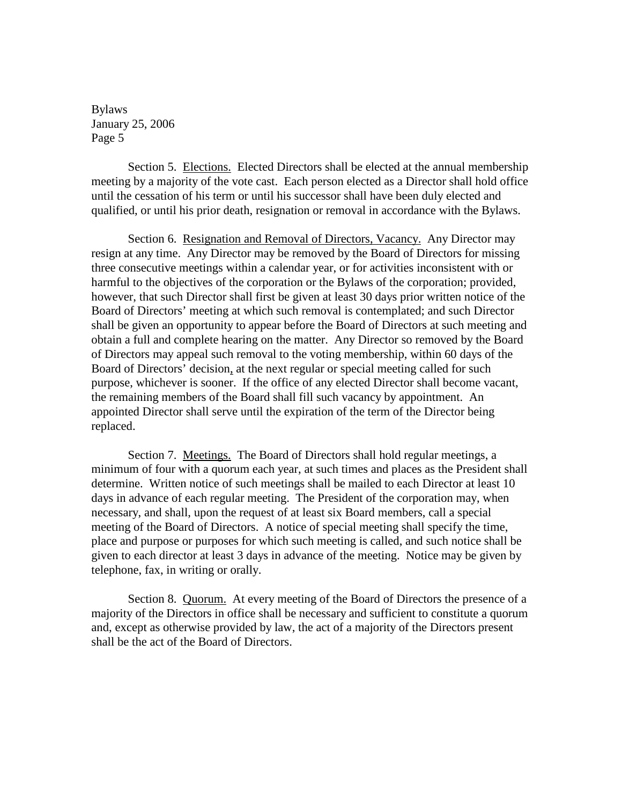Section 5. Elections. Elected Directors shall be elected at the annual membership meeting by a majority of the vote cast. Each person elected as a Director shall hold office until the cessation of his term or until his successor shall have been duly elected and qualified, or until his prior death, resignation or removal in accordance with the Bylaws.

Section 6. Resignation and Removal of Directors, Vacancy. Any Director may resign at any time. Any Director may be removed by the Board of Directors for missing three consecutive meetings within a calendar year, or for activities inconsistent with or harmful to the objectives of the corporation or the Bylaws of the corporation; provided, however, that such Director shall first be given at least 30 days prior written notice of the Board of Directors' meeting at which such removal is contemplated; and such Director shall be given an opportunity to appear before the Board of Directors at such meeting and obtain a full and complete hearing on the matter. Any Director so removed by the Board of Directors may appeal such removal to the voting membership, within 60 days of the Board of Directors' decision, at the next regular or special meeting called for such purpose, whichever is sooner. If the office of any elected Director shall become vacant, the remaining members of the Board shall fill such vacancy by appointment. An appointed Director shall serve until the expiration of the term of the Director being replaced.

Section 7. Meetings. The Board of Directors shall hold regular meetings, a minimum of four with a quorum each year, at such times and places as the President shall determine. Written notice of such meetings shall be mailed to each Director at least 10 days in advance of each regular meeting. The President of the corporation may, when necessary, and shall, upon the request of at least six Board members, call a special meeting of the Board of Directors. A notice of special meeting shall specify the time, place and purpose or purposes for which such meeting is called, and such notice shall be given to each director at least 3 days in advance of the meeting. Notice may be given by telephone, fax, in writing or orally.

Section 8. Quorum. At every meeting of the Board of Directors the presence of a majority of the Directors in office shall be necessary and sufficient to constitute a quorum and, except as otherwise provided by law, the act of a majority of the Directors present shall be the act of the Board of Directors.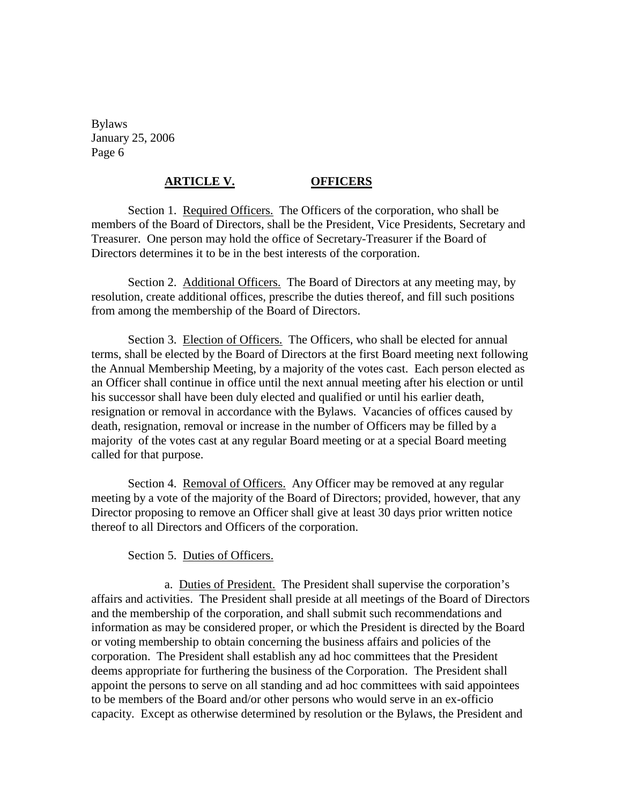# **ARTICLE V. OFFICERS**

Section 1. Required Officers. The Officers of the corporation, who shall be members of the Board of Directors, shall be the President, Vice Presidents, Secretary and Treasurer. One person may hold the office of Secretary-Treasurer if the Board of Directors determines it to be in the best interests of the corporation.

Section 2. Additional Officers. The Board of Directors at any meeting may, by resolution, create additional offices, prescribe the duties thereof, and fill such positions from among the membership of the Board of Directors.

Section 3. Election of Officers. The Officers, who shall be elected for annual terms, shall be elected by the Board of Directors at the first Board meeting next following the Annual Membership Meeting, by a majority of the votes cast. Each person elected as an Officer shall continue in office until the next annual meeting after his election or until his successor shall have been duly elected and qualified or until his earlier death, resignation or removal in accordance with the Bylaws. Vacancies of offices caused by death, resignation, removal or increase in the number of Officers may be filled by a majority of the votes cast at any regular Board meeting or at a special Board meeting called for that purpose.

Section 4. Removal of Officers. Any Officer may be removed at any regular meeting by a vote of the majority of the Board of Directors; provided, however, that any Director proposing to remove an Officer shall give at least 30 days prior written notice thereof to all Directors and Officers of the corporation.

Section 5. Duties of Officers.

a. Duties of President. The President shall supervise the corporation's affairs and activities. The President shall preside at all meetings of the Board of Directors and the membership of the corporation, and shall submit such recommendations and information as may be considered proper, or which the President is directed by the Board or voting membership to obtain concerning the business affairs and policies of the corporation. The President shall establish any ad hoc committees that the President deems appropriate for furthering the business of the Corporation. The President shall appoint the persons to serve on all standing and ad hoc committees with said appointees to be members of the Board and/or other persons who would serve in an ex-officio capacity. Except as otherwise determined by resolution or the Bylaws, the President and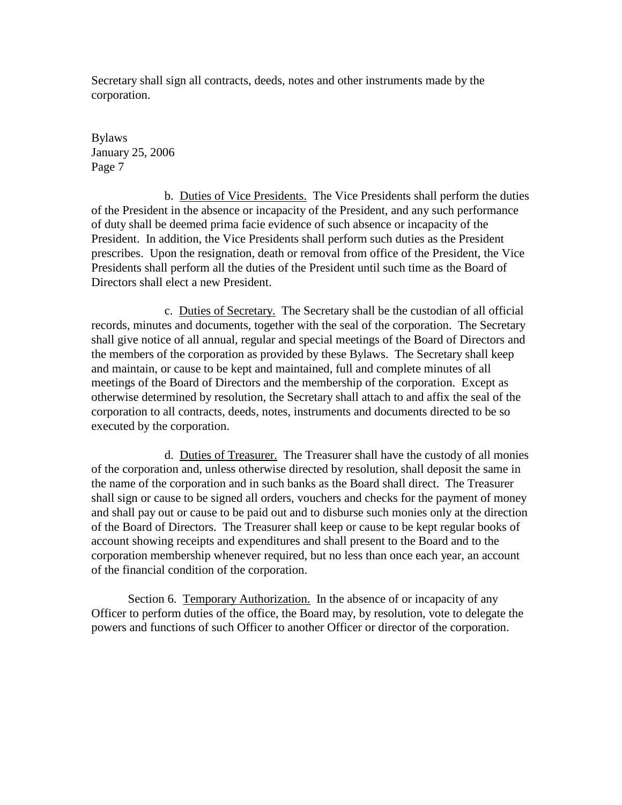Secretary shall sign all contracts, deeds, notes and other instruments made by the corporation.

Bylaws January 25, 2006 Page 7

b. Duties of Vice Presidents. The Vice Presidents shall perform the duties of the President in the absence or incapacity of the President, and any such performance of duty shall be deemed prima facie evidence of such absence or incapacity of the President. In addition, the Vice Presidents shall perform such duties as the President prescribes. Upon the resignation, death or removal from office of the President, the Vice Presidents shall perform all the duties of the President until such time as the Board of Directors shall elect a new President.

c. Duties of Secretary. The Secretary shall be the custodian of all official records, minutes and documents, together with the seal of the corporation. The Secretary shall give notice of all annual, regular and special meetings of the Board of Directors and the members of the corporation as provided by these Bylaws. The Secretary shall keep and maintain, or cause to be kept and maintained, full and complete minutes of all meetings of the Board of Directors and the membership of the corporation. Except as otherwise determined by resolution, the Secretary shall attach to and affix the seal of the corporation to all contracts, deeds, notes, instruments and documents directed to be so executed by the corporation.

d. Duties of Treasurer. The Treasurer shall have the custody of all monies of the corporation and, unless otherwise directed by resolution, shall deposit the same in the name of the corporation and in such banks as the Board shall direct. The Treasurer shall sign or cause to be signed all orders, vouchers and checks for the payment of money and shall pay out or cause to be paid out and to disburse such monies only at the direction of the Board of Directors. The Treasurer shall keep or cause to be kept regular books of account showing receipts and expenditures and shall present to the Board and to the corporation membership whenever required, but no less than once each year, an account of the financial condition of the corporation.

Section 6. Temporary Authorization. In the absence of or incapacity of any Officer to perform duties of the office, the Board may, by resolution, vote to delegate the powers and functions of such Officer to another Officer or director of the corporation.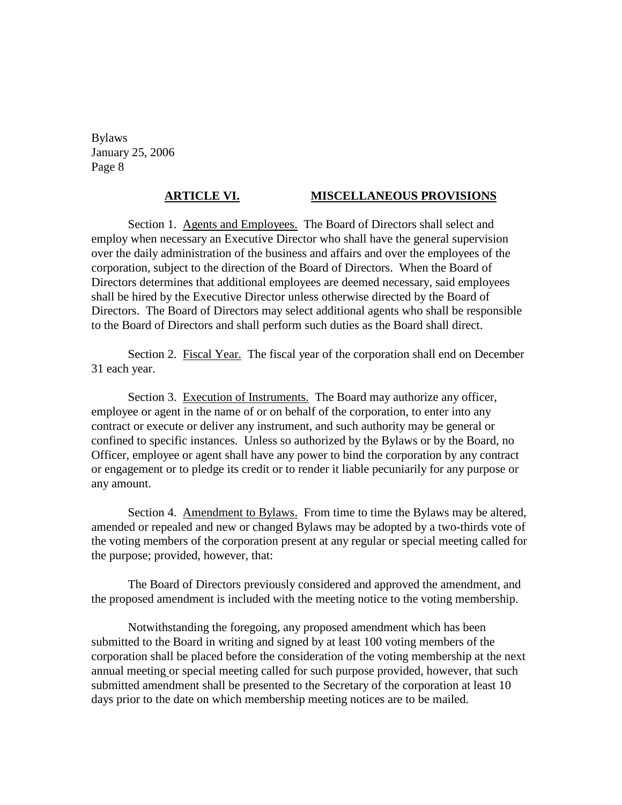# **ARTICLE VI. MISCELLANEOUS PROVISIONS**

Section 1. Agents and Employees. The Board of Directors shall select and employ when necessary an Executive Director who shall have the general supervision over the daily administration of the business and affairs and over the employees of the corporation, subject to the direction of the Board of Directors. When the Board of Directors determines that additional employees are deemed necessary, said employees shall be hired by the Executive Director unless otherwise directed by the Board of Directors. The Board of Directors may select additional agents who shall be responsible to the Board of Directors and shall perform such duties as the Board shall direct.

Section 2. Fiscal Year. The fiscal year of the corporation shall end on December 31 each year.

Section 3. Execution of Instruments. The Board may authorize any officer, employee or agent in the name of or on behalf of the corporation, to enter into any contract or execute or deliver any instrument, and such authority may be general or confined to specific instances. Unless so authorized by the Bylaws or by the Board, no Officer, employee or agent shall have any power to bind the corporation by any contract or engagement or to pledge its credit or to render it liable pecuniarily for any purpose or any amount.

Section 4. Amendment to Bylaws. From time to time the Bylaws may be altered, amended or repealed and new or changed Bylaws may be adopted by a two-thirds vote of the voting members of the corporation present at any regular or special meeting called for the purpose; provided, however, that:

The Board of Directors previously considered and approved the amendment, and the proposed amendment is included with the meeting notice to the voting membership.

Notwithstanding the foregoing, any proposed amendment which has been submitted to the Board in writing and signed by at least 100 voting members of the corporation shall be placed before the consideration of the voting membership at the next annual meeting or special meeting called for such purpose provided, however, that such submitted amendment shall be presented to the Secretary of the corporation at least 10 days prior to the date on which membership meeting notices are to be mailed.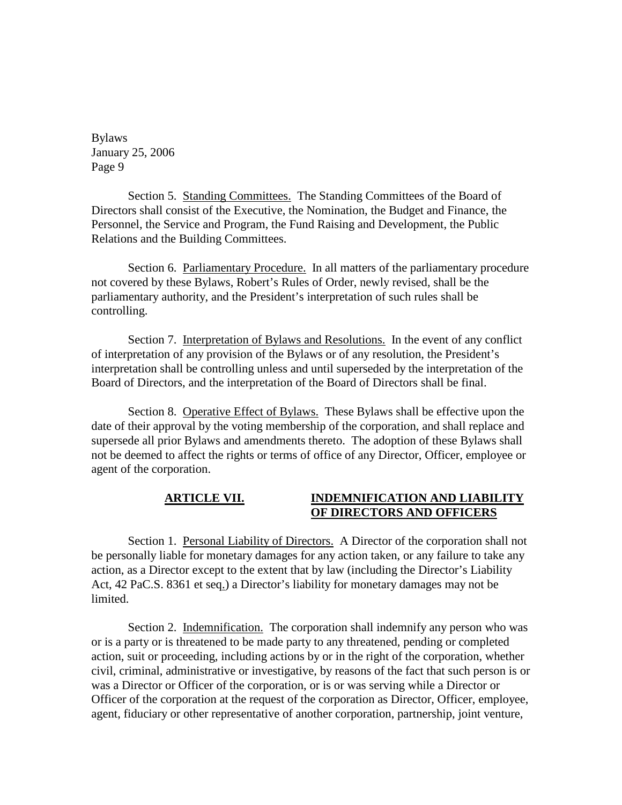Section 5. Standing Committees. The Standing Committees of the Board of Directors shall consist of the Executive, the Nomination, the Budget and Finance, the Personnel, the Service and Program, the Fund Raising and Development, the Public Relations and the Building Committees.

Section 6. Parliamentary Procedure. In all matters of the parliamentary procedure not covered by these Bylaws, Robert's Rules of Order, newly revised, shall be the parliamentary authority, and the President's interpretation of such rules shall be controlling.

Section 7. Interpretation of Bylaws and Resolutions. In the event of any conflict of interpretation of any provision of the Bylaws or of any resolution, the President's interpretation shall be controlling unless and until superseded by the interpretation of the Board of Directors, and the interpretation of the Board of Directors shall be final.

Section 8. Operative Effect of Bylaws. These Bylaws shall be effective upon the date of their approval by the voting membership of the corporation, and shall replace and supersede all prior Bylaws and amendments thereto. The adoption of these Bylaws shall not be deemed to affect the rights or terms of office of any Director, Officer, employee or agent of the corporation.

# **ARTICLE VII. INDEMNIFICATION AND LIABILITY OF DIRECTORS AND OFFICERS**

Section 1. Personal Liability of Directors. A Director of the corporation shall not be personally liable for monetary damages for any action taken, or any failure to take any action, as a Director except to the extent that by law (including the Director's Liability Act, 42 PaC.S. 8361 et seq.) a Director's liability for monetary damages may not be limited.

Section 2. Indemnification. The corporation shall indemnify any person who was or is a party or is threatened to be made party to any threatened, pending or completed action, suit or proceeding, including actions by or in the right of the corporation, whether civil, criminal, administrative or investigative, by reasons of the fact that such person is or was a Director or Officer of the corporation, or is or was serving while a Director or Officer of the corporation at the request of the corporation as Director, Officer, employee, agent, fiduciary or other representative of another corporation, partnership, joint venture,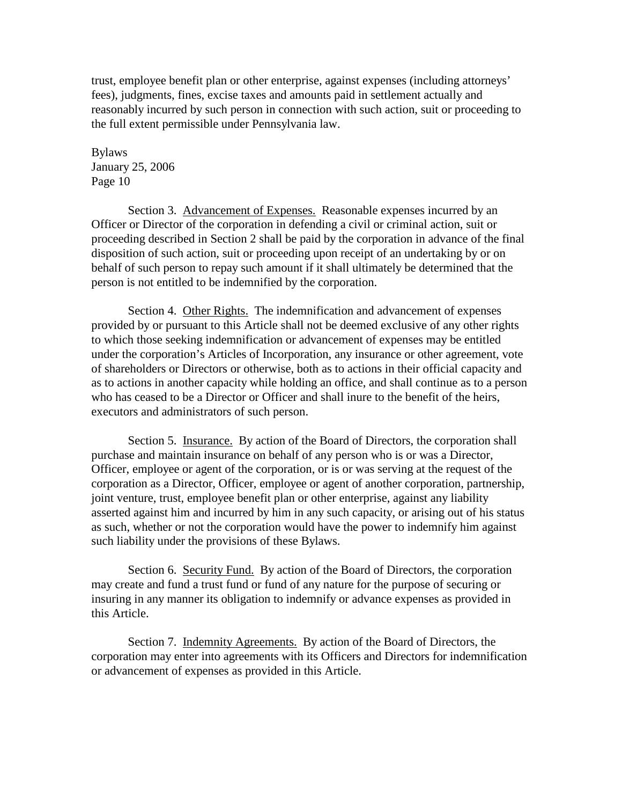trust, employee benefit plan or other enterprise, against expenses (including attorneys' fees), judgments, fines, excise taxes and amounts paid in settlement actually and reasonably incurred by such person in connection with such action, suit or proceeding to the full extent permissible under Pennsylvania law.

Bylaws January 25, 2006 Page 10

Section 3. Advancement of Expenses. Reasonable expenses incurred by an Officer or Director of the corporation in defending a civil or criminal action, suit or proceeding described in Section 2 shall be paid by the corporation in advance of the final disposition of such action, suit or proceeding upon receipt of an undertaking by or on behalf of such person to repay such amount if it shall ultimately be determined that the person is not entitled to be indemnified by the corporation.

Section 4. Other Rights. The indemnification and advancement of expenses provided by or pursuant to this Article shall not be deemed exclusive of any other rights to which those seeking indemnification or advancement of expenses may be entitled under the corporation's Articles of Incorporation, any insurance or other agreement, vote of shareholders or Directors or otherwise, both as to actions in their official capacity and as to actions in another capacity while holding an office, and shall continue as to a person who has ceased to be a Director or Officer and shall inure to the benefit of the heirs, executors and administrators of such person.

Section 5. Insurance. By action of the Board of Directors, the corporation shall purchase and maintain insurance on behalf of any person who is or was a Director, Officer, employee or agent of the corporation, or is or was serving at the request of the corporation as a Director, Officer, employee or agent of another corporation, partnership, joint venture, trust, employee benefit plan or other enterprise, against any liability asserted against him and incurred by him in any such capacity, or arising out of his status as such, whether or not the corporation would have the power to indemnify him against such liability under the provisions of these Bylaws.

Section 6. Security Fund. By action of the Board of Directors, the corporation may create and fund a trust fund or fund of any nature for the purpose of securing or insuring in any manner its obligation to indemnify or advance expenses as provided in this Article.

Section 7. Indemnity Agreements. By action of the Board of Directors, the corporation may enter into agreements with its Officers and Directors for indemnification or advancement of expenses as provided in this Article.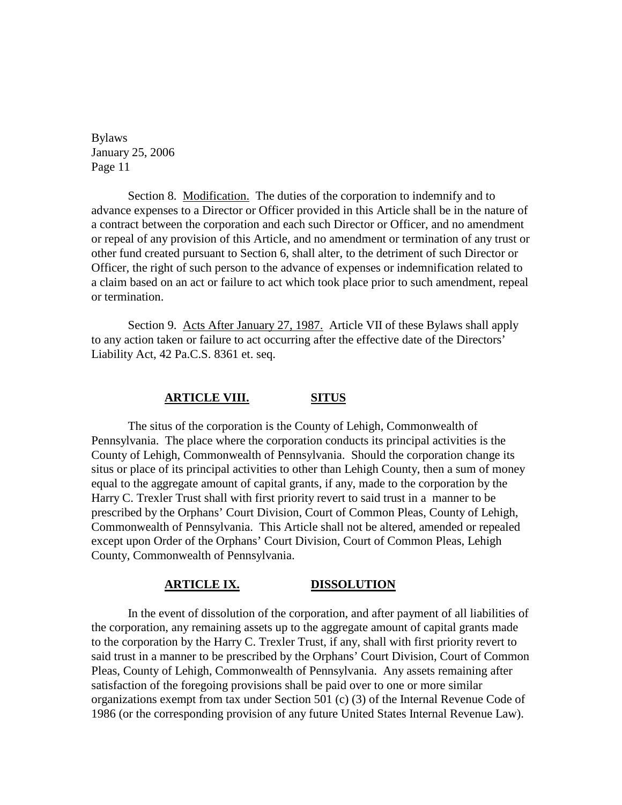Section 8. Modification. The duties of the corporation to indemnify and to advance expenses to a Director or Officer provided in this Article shall be in the nature of a contract between the corporation and each such Director or Officer, and no amendment or repeal of any provision of this Article, and no amendment or termination of any trust or other fund created pursuant to Section 6, shall alter, to the detriment of such Director or Officer, the right of such person to the advance of expenses or indemnification related to a claim based on an act or failure to act which took place prior to such amendment, repeal or termination.

Section 9. Acts After January 27, 1987. Article VII of these Bylaws shall apply to any action taken or failure to act occurring after the effective date of the Directors' Liability Act, 42 Pa.C.S. 8361 et. seq.

## **ARTICLE VIII. SITUS**

The situs of the corporation is the County of Lehigh, Commonwealth of Pennsylvania. The place where the corporation conducts its principal activities is the County of Lehigh, Commonwealth of Pennsylvania. Should the corporation change its situs or place of its principal activities to other than Lehigh County, then a sum of money equal to the aggregate amount of capital grants, if any, made to the corporation by the Harry C. Trexler Trust shall with first priority revert to said trust in a manner to be prescribed by the Orphans' Court Division, Court of Common Pleas, County of Lehigh, Commonwealth of Pennsylvania. This Article shall not be altered, amended or repealed except upon Order of the Orphans' Court Division, Court of Common Pleas, Lehigh County, Commonwealth of Pennsylvania.

#### **ARTICLE IX. DISSOLUTION**

In the event of dissolution of the corporation, and after payment of all liabilities of the corporation, any remaining assets up to the aggregate amount of capital grants made to the corporation by the Harry C. Trexler Trust, if any, shall with first priority revert to said trust in a manner to be prescribed by the Orphans' Court Division, Court of Common Pleas, County of Lehigh, Commonwealth of Pennsylvania. Any assets remaining after satisfaction of the foregoing provisions shall be paid over to one or more similar organizations exempt from tax under Section 501 (c) (3) of the Internal Revenue Code of 1986 (or the corresponding provision of any future United States Internal Revenue Law).